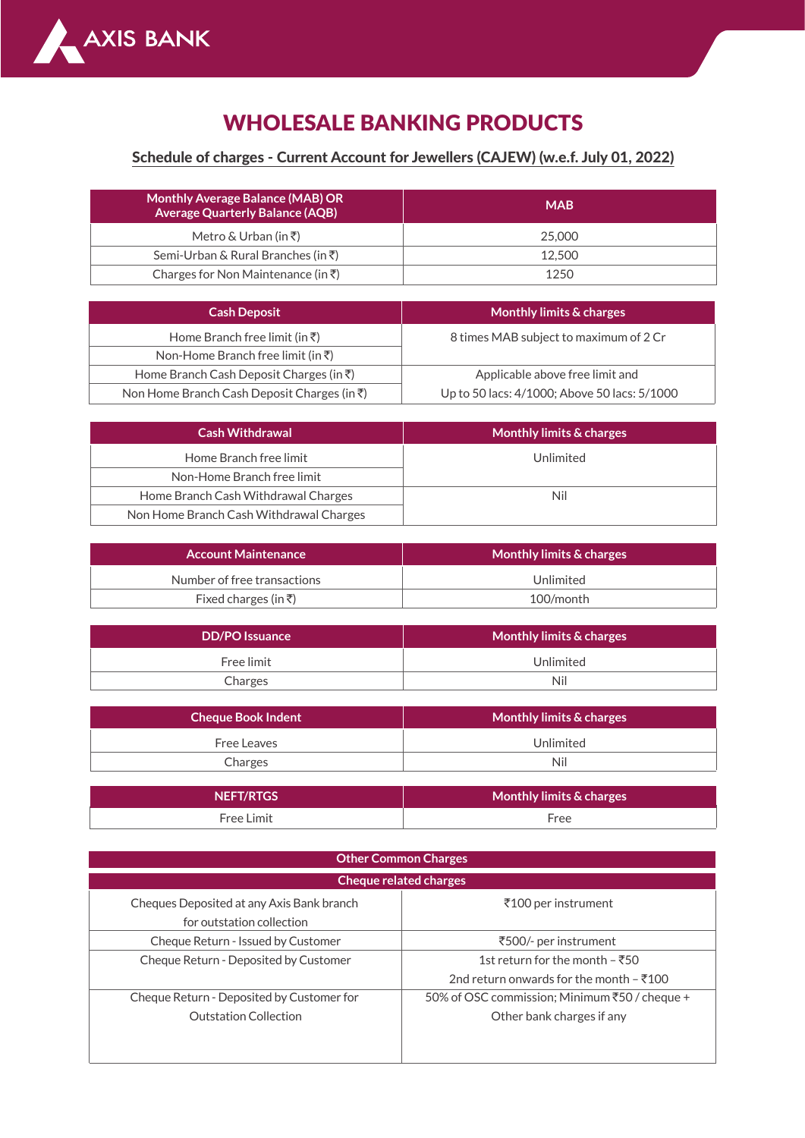

## WHOLESALE BANKING PRODUCTS

## Schedule of charges - Current Account for Jewellers (CAJEW) (w.e.f. July 01, 2022)

| <b>Monthly Average Balance (MAB) OR</b><br><b>Average Quarterly Balance (AQB)</b> | <b>MAB</b> |  |  |
|-----------------------------------------------------------------------------------|------------|--|--|
| Metro & Urban (in ₹)                                                              | 25,000     |  |  |
| Semi-Urban & Rural Branches (in ₹)                                                | 12.500     |  |  |
| Charges for Non Maintenance (in ₹)                                                | 1250       |  |  |

| <b>Cash Deposit</b>                                 | Monthly limits & charges                     |  |  |
|-----------------------------------------------------|----------------------------------------------|--|--|
| Home Branch free limit (in $\bar{\tau}$ )           | 8 times MAB subject to maximum of 2 Cr       |  |  |
| Non-Home Branch free limit (in ₹)                   |                                              |  |  |
| Home Branch Cash Deposit Charges (in $\bar{\tau}$ ) | Applicable above free limit and              |  |  |
| Non Home Branch Cash Deposit Charges (in ₹)         | Up to 50 lacs: 4/1000; Above 50 lacs: 5/1000 |  |  |

| <b>Cash Withdrawal</b>                  | Monthly limits & charges |  |  |
|-----------------------------------------|--------------------------|--|--|
| Home Branch free limit                  | Unlimited                |  |  |
| Non-Home Branch free limit              |                          |  |  |
| Home Branch Cash Withdrawal Charges     | Nil                      |  |  |
| Non Home Branch Cash Withdrawal Charges |                          |  |  |

| <b>Account Maintenance</b>  | Monthly limits & charges |  |  |
|-----------------------------|--------------------------|--|--|
| Number of free transactions | Unlimited                |  |  |
| Fixed charges (in ₹)        | 100/month                |  |  |

| <b>DD/PO</b> Issuance | Monthly limits & charges |  |  |
|-----------------------|--------------------------|--|--|
| Free limit            | Unlimited                |  |  |
| Charges               | Nil                      |  |  |

| <b>Cheque Book Indent</b> | Monthly limits & charges ' |  |  |
|---------------------------|----------------------------|--|--|
| Free Leaves               | Unlimited                  |  |  |
| Charges                   | Nil                        |  |  |

| <b>NEFT/RTGS</b> | Monthly limits & charges |  |  |
|------------------|--------------------------|--|--|
| Free Limit       | Tree                     |  |  |

| <b>Other Common Charges</b>               |                                               |  |  |
|-------------------------------------------|-----------------------------------------------|--|--|
| <b>Cheque related charges</b>             |                                               |  |  |
| Cheques Deposited at any Axis Bank branch | ₹100 per instrument                           |  |  |
| for outstation collection                 |                                               |  |  |
| Cheque Return - Issued by Customer        | ₹500/- per instrument                         |  |  |
| Cheque Return - Deposited by Customer     | 1st return for the month – ₹50                |  |  |
|                                           | 2nd return onwards for the month $-5100$      |  |  |
| Cheque Return - Deposited by Customer for | 50% of OSC commission; Minimum ₹50 / cheque + |  |  |
| <b>Outstation Collection</b>              | Other bank charges if any                     |  |  |
|                                           |                                               |  |  |
|                                           |                                               |  |  |